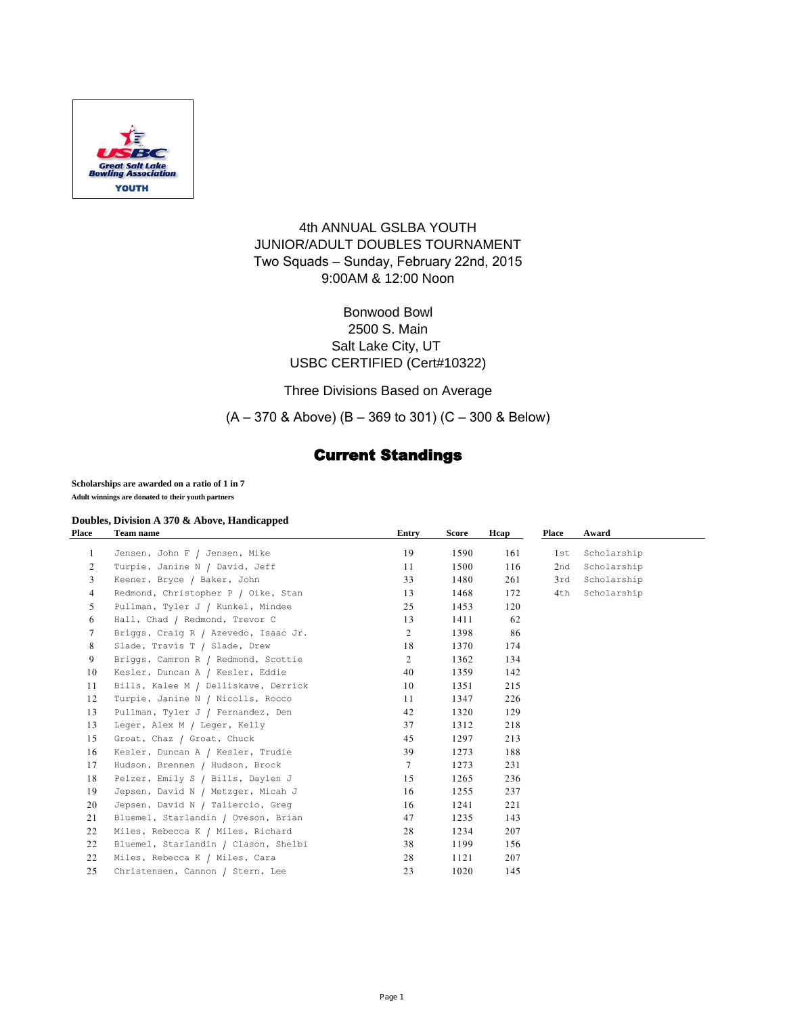

### 4th ANNUAL GSLBA YOUTH JUNIOR/ADULT DOUBLES TOURNAMENT Two Squads – Sunday, February 22nd, 2015 9:00AM & 12:00 Noon

### Bonwood Bowl 2500 S. Main Salt Lake City, UT USBC CERTIFIED (Cert#10322)

Three Divisions Based on Average

(A – 370 & Above) (B – 369 to 301) (C – 300 & Below)

# Current Standings

#### **Scholarships are awarded on a ratio of 1 in 7**

**Adult winnings are donated to their youth partners** 

#### **Doubles, Division A 370 & Above, Handicapped**

| Place          | <b>Team name</b>                     | Entry           | Score | Hcap | Place | Award       |  |
|----------------|--------------------------------------|-----------------|-------|------|-------|-------------|--|
| 1              | Jensen, John F / Jensen, Mike        | 19              | 1590  | 161  | 1st   | Scholarship |  |
| $\overline{2}$ | Turpie, Janine N / David, Jeff       | 11              | 1500  | 116  | 2nd   | Scholarship |  |
| 3              | Keener, Bryce / Baker, John          | 33              | 1480  | 261  | 3rd   | Scholarship |  |
| 4              | Redmond, Christopher P / Oike, Stan  | 13              | 1468  | 172  | 4th   | Scholarship |  |
| 5              | Pullman, Tyler J / Kunkel, Mindee    | 25              | 1453  | 120  |       |             |  |
| 6              | Hall, Chad / Redmond, Trevor C       | 13              | 1411  | 62   |       |             |  |
| 7              | Briggs, Craig R / Azevedo, Isaac Jr. | $\overline{2}$  | 1398  | 86   |       |             |  |
| 8              | Slade, Travis T / Slade, Drew        | 18              | 1370  | 174  |       |             |  |
| 9              | Briggs, Camron R / Redmond, Scottie  | 2               | 1362  | 134  |       |             |  |
| 10             | Kesler, Duncan A / Kesler, Eddie     | 40              | 1359  | 142  |       |             |  |
| 11             | Bills, Kalee M / Delliskave, Derrick | 10              | 1351  | 215  |       |             |  |
| 12             | Turpie, Janine N / Nicolls, Rocco    | 11              | 1347  | 226  |       |             |  |
| 13             | Pullman, Tyler J / Fernandez, Den    | 42              | 1320  | 129  |       |             |  |
| 13             | Leger, Alex M / Leger, Kelly         | 37              | 1312  | 218  |       |             |  |
| 15             | Groat, Chaz / Groat, Chuck           | 45              | 1297  | 213  |       |             |  |
| 16             | Kesler, Duncan A / Kesler, Trudie    | 39              | 1273  | 188  |       |             |  |
| 17             | Hudson, Brennen / Hudson, Brock      | $7\overline{ }$ | 1273  | 231  |       |             |  |
| 18             | Pelzer, Emily S / Bills, Daylen J    | 15              | 1265  | 236  |       |             |  |
| 19             | Jepsen, David N / Metzger, Micah J   | 16              | 1255  | 237  |       |             |  |
| 20             | Jepsen, David N / Taliercio, Greq    | 16              | 1241  | 221  |       |             |  |
| 21             | Bluemel, Starlandin / Oveson, Brian  | 47              | 1235  | 143  |       |             |  |
| 22             | Miles, Rebecca K / Miles, Richard    | 28              | 1234  | 207  |       |             |  |
| 22             | Bluemel, Starlandin / Clason, Shelbi | 38              | 1199  | 156  |       |             |  |
| 22             | Miles, Rebecca K / Miles, Cara       | 28              | 1121  | 207  |       |             |  |
| 25             | Christensen, Cannon / Stern, Lee     | 23              | 1020  | 145  |       |             |  |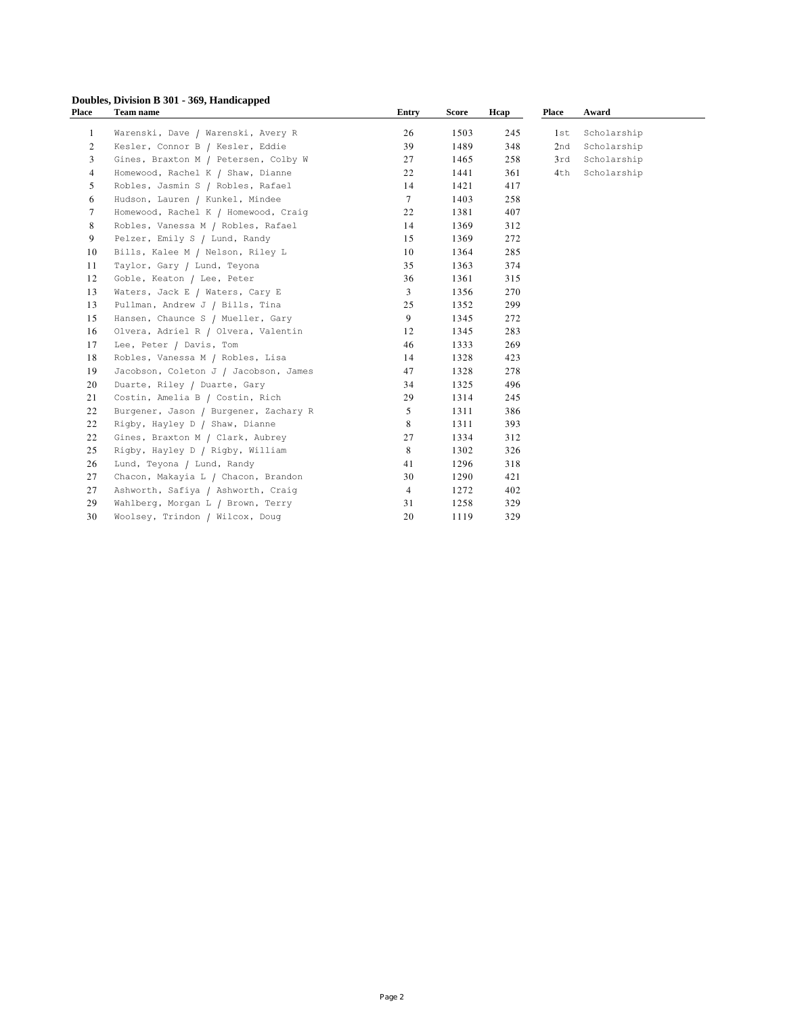## **Doubles, Division B 301 - 369, Handicapped**

| Place          | <b>Team name</b>                      | <b>Entry</b>   | Score | Hcap | <b>Place</b> | Award       |  |
|----------------|---------------------------------------|----------------|-------|------|--------------|-------------|--|
| 1              | Warenski, Dave / Warenski, Avery R    | 26             | 1503  | 245  | 1st          | Scholarship |  |
| 2              | Kesler, Connor B / Kesler, Eddie      | 39             | 1489  | 348  | 2nd          | Scholarship |  |
| 3              | Gines, Braxton M / Petersen, Colby W  | 27             | 1465  | 258  | 3rd          | Scholarship |  |
| $\overline{4}$ | Homewood, Rachel K / Shaw, Dianne     | 22             | 1441  | 361  | 4th          | Scholarship |  |
| 5              | Robles, Jasmin S / Robles, Rafael     | 14             | 1421  | 417  |              |             |  |
| 6              | Hudson, Lauren / Kunkel, Mindee       | $\tau$         | 1403  | 258  |              |             |  |
| $\tau$         | Homewood, Rachel K / Homewood, Craig  | 22             | 1381  | 407  |              |             |  |
| 8              | Robles, Vanessa M / Robles, Rafael    | 14             | 1369  | 312  |              |             |  |
| 9              | Pelzer, Emily S / Lund, Randy         | 15             | 1369  | 272  |              |             |  |
| 10             | Bills, Kalee M / Nelson, Riley L      | 10             | 1364  | 285  |              |             |  |
| 11             | Taylor, Gary / Lund, Teyona           | 35             | 1363  | 374  |              |             |  |
| 12             | Goble, Keaton / Lee, Peter            | 36             | 1361  | 315  |              |             |  |
| 13             | Waters, Jack E / Waters, Cary E       | 3              | 1356  | 270  |              |             |  |
| 13             | Pullman, Andrew J / Bills, Tina       | 25             | 1352  | 299  |              |             |  |
| 15             | Hansen, Chaunce S / Mueller, Gary     | 9              | 1345  | 272  |              |             |  |
| 16             | Olvera, Adriel R / Olvera, Valentin   | 12             | 1345  | 283  |              |             |  |
| 17             | Lee, Peter / Davis, Tom               | 46             | 1333  | 269  |              |             |  |
| 18             | Robles, Vanessa M / Robles, Lisa      | 14             | 1328  | 423  |              |             |  |
| 19             | Jacobson, Coleton J / Jacobson, James | 47             | 1328  | 278  |              |             |  |
| 20             | Duarte, Riley / Duarte, Gary          | 34             | 1325  | 496  |              |             |  |
| 21             | Costin, Amelia B / Costin, Rich       | 29             | 1314  | 245  |              |             |  |
| 22             | Burgener, Jason / Burgener, Zachary R | 5              | 1311  | 386  |              |             |  |
| 22             | Rigby, Hayley D / Shaw, Dianne        | 8              | 1311  | 393  |              |             |  |
| 22             | Gines, Braxton M / Clark, Aubrey      | 27             | 1334  | 312  |              |             |  |
| 25             | Rigby, Hayley D / Rigby, William      | 8              | 1302  | 326  |              |             |  |
| 26             | Lund, Teyona / Lund, Randy            | 41             | 1296  | 318  |              |             |  |
| 27             | Chacon, Makayia L / Chacon, Brandon   | 30             | 1290  | 421  |              |             |  |
| 27             | Ashworth, Safiya / Ashworth, Craig    | $\overline{4}$ | 1272  | 402  |              |             |  |
| 29             | Wahlberg, Morgan L / Brown, Terry     | 31             | 1258  | 329  |              |             |  |
| 30             | Woolsey, Trindon / Wilcox, Doug       | 20             | 1119  | 329  |              |             |  |